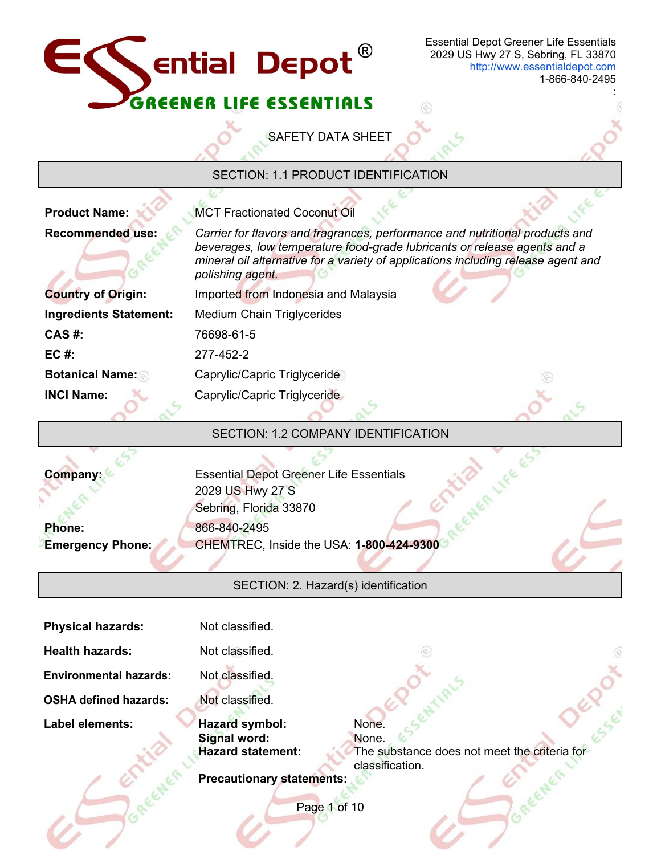

E,

1-866-840-2495

:

SAFETY DATA SHEET

# SECTION: 1.1 PRODUCT IDENTIFICATION

| <b>Product Name:</b>                | <b>MCT Fractionated Coconut Oil</b>                                                                                                                                                                                                                               |  |  |
|-------------------------------------|-------------------------------------------------------------------------------------------------------------------------------------------------------------------------------------------------------------------------------------------------------------------|--|--|
| <b>Recommended use:</b>             | Carrier for flavors and fragrances, performance and nutritional products and<br>beverages, low temperature food-grade lubricants or release agents and a<br>mineral oil alternative for a variety of applications including release agent and<br>polishing agent. |  |  |
| <b>Country of Origin:</b>           | Imported from Indonesia and Malaysia                                                                                                                                                                                                                              |  |  |
| <b>Ingredients Statement:</b>       | <b>Medium Chain Triglycerides</b>                                                                                                                                                                                                                                 |  |  |
| $CAS$ #:                            | 76698-61-5                                                                                                                                                                                                                                                        |  |  |
| EC#                                 | 277-452-2                                                                                                                                                                                                                                                         |  |  |
| <b>Botanical Name:</b>              | Caprylic/Capric Triglyceride                                                                                                                                                                                                                                      |  |  |
| <b>INCI Name:</b>                   | Caprylic/Capric Triglyceride                                                                                                                                                                                                                                      |  |  |
| SECTION: 1.2 COMPANY IDENTIFICATION |                                                                                                                                                                                                                                                                   |  |  |

**Phone: Emergency Phone:**

**Company:** Essential Depot Greener Life Essentials 2029 US Hwy 27 S Sebring, Florida 33870 866-840-2495 CHEMTREC, Inside the USA: **1-800-424-9300** 

SECTION: 2. Hazard(s) identification

| <b>Physical hazards:</b>      | Not classified.                                                                                                      |
|-------------------------------|----------------------------------------------------------------------------------------------------------------------|
| <b>Health hazards:</b>        | Not classified.                                                                                                      |
| <b>Environmental hazards:</b> | Not classified.                                                                                                      |
| <b>OSHA defined hazards:</b>  | Not classified.                                                                                                      |
| Label elements:               | Hazard symbol:<br>None.                                                                                              |
|                               | Signal word:<br>None.<br><b>Hazard statement:</b><br>The substance does not meet the criteria for<br>classification. |
|                               | <b>Precautionary statements:</b>                                                                                     |
|                               | Page 1 of 10                                                                                                         |
|                               |                                                                                                                      |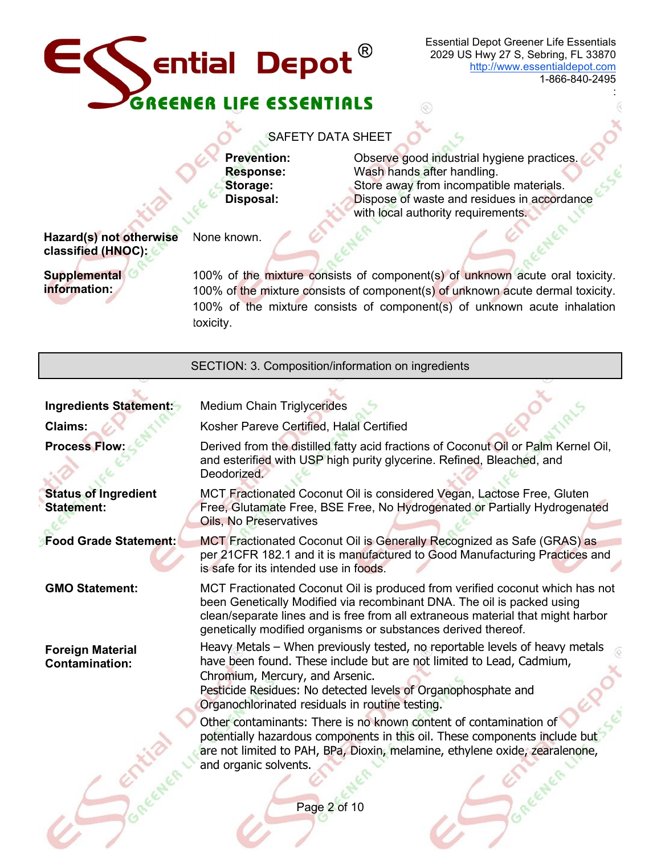

1-866-840-2495

:

#### SAFETY DATA SHEET

**Prevention:** Observe good industrial hygiene practices<br> **Response:** Wash hands after handling. **Response:** Wash hands after handling.<br>**Storage:** Store away from incompatib **Storage:** Store away from incompatible materials.<br> **Disposal:** Dispose of waste and residues in accord Dispose of waste and residues in accordance with local authority requirements.

**Hazard(s) not otherwise classified (HNOC):**

None known.

**Supplemental information:**

100% of the mixture consists of component(s) of unknown acute oral toxicity. 100% of the mixture consists of component(s) of unknown acute dermal toxicity. 100% of the mixture consists of component(s) of unknown acute inhalation toxicity.

E

| SECTION: 3. Composition/information on ingredients |                                                                                                                                                                                                                                                                                                                                                                                 |  |
|----------------------------------------------------|---------------------------------------------------------------------------------------------------------------------------------------------------------------------------------------------------------------------------------------------------------------------------------------------------------------------------------------------------------------------------------|--|
| Ingredients Statement:                             | <b>Medium Chain Triglycerides</b>                                                                                                                                                                                                                                                                                                                                               |  |
| <b>Claims:</b>                                     | Kosher Pareve Certified, Halal Certified                                                                                                                                                                                                                                                                                                                                        |  |
| <b>Process Flow</b>                                | Derived from the distilled fatty acid fractions of Coconut Oil or Palm Kernel Oil,<br>and esterified with USP high purity glycerine. Refined, Bleached, and<br>Deodorized.                                                                                                                                                                                                      |  |
| <b>Status of Ingredient</b><br><b>Statement:</b>   | MCT Fractionated Coconut Oil is considered Vegan, Lactose Free, Gluten<br>Free, Glutamate Free, BSE Free, No Hydrogenated or Partially Hydrogenated<br><b>Oils, No Preservatives</b>                                                                                                                                                                                            |  |
| <b>Food Grade Statement:</b>                       | MCT Fractionated Coconut Oil is Generally Recognized as Safe (GRAS) as<br>per 21CFR 182.1 and it is manufactured to Good Manufacturing Practices and<br>is safe for its intended use in foods.                                                                                                                                                                                  |  |
| <b>GMO Statement:</b>                              | MCT Fractionated Coconut Oil is produced from verified coconut which has not<br>been Genetically Modified via recombinant DNA. The oil is packed using<br>clean/separate lines and is free from all extraneous material that might harbor<br>genetically modified organisms or substances derived thereof.                                                                      |  |
| <b>Foreign Material</b><br><b>Contamination:</b>   | Heavy Metals - When previously tested, no reportable levels of heavy metals<br>have been found. These include but are not limited to Lead, Cadmium,<br>Chromium, Mercury, and Arsenic.<br>Pesticide Residues: No detected levels of Organophosphate and<br>Organochlorinated residuals in routine testing.<br>Other contaminants: There is no known content of contamination of |  |
|                                                    | potentially hazardous components in this oil. These components include but<br>are not limited to PAH, BPa, Dioxin, melamine, ethylene oxide, zearalenone,<br>and organic solvents.                                                                                                                                                                                              |  |
|                                                    | Page 2 of 10                                                                                                                                                                                                                                                                                                                                                                    |  |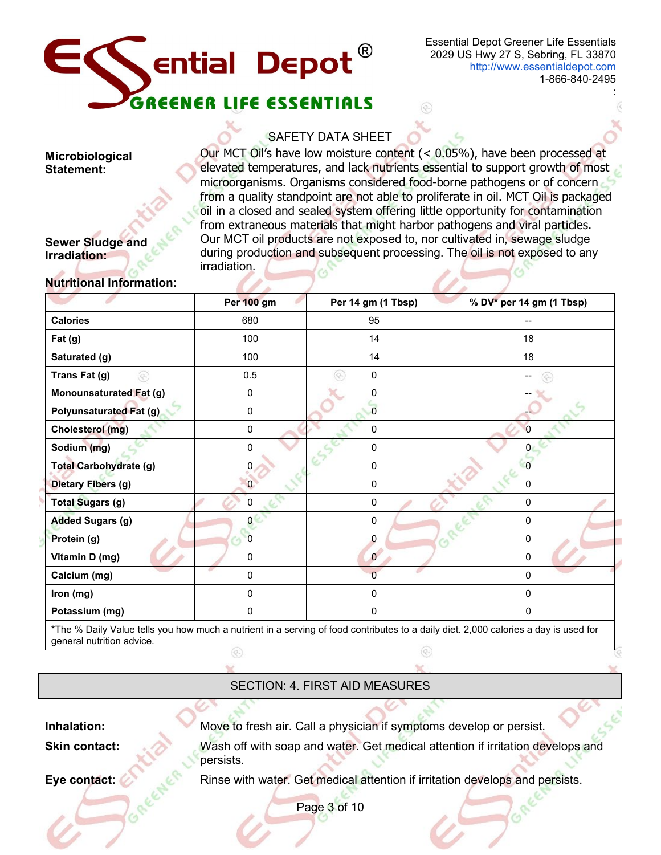

:

# SAFETY DATA SHEET

Our MCT Oil's have low moisture content (< 0.05%), have been processed at elevated temperatures, and lack nutrients essential to support growth of most microorganisms. Organisms considered food-borne pathogens or of concern from a quality standpoint are not able to proliferate in oil. MCT Oil is packaged oil in a closed and sealed system offering little opportunity for contamination from extraneous materials that might harbor pathogens and viral particles. Our MCT oil products are not exposed to, nor cultivated in, sewage sludge during production and subsequent processing. The oil is not exposed to any irradiation.

# **Sewer Sludge and Irradiation:**

**Microbiological Statement:**

#### **Nutritional Information:**

|                                | Per 100 gm     | Per 14 gm (1 Tbsp) | % DV* per 14 gm (1 Tbsp) |  |
|--------------------------------|----------------|--------------------|--------------------------|--|
| <b>Calories</b>                | 680            | 95                 |                          |  |
| Fat(g)                         | 100            | 14                 | 18                       |  |
| Saturated (g)                  | 100            | 14                 | 18                       |  |
| Trans Fat (g)<br>œ             | 0.5            | 0<br>Ģ.            |                          |  |
| <b>Monounsaturated Fat (g)</b> | $\pmb{0}$      | 0                  |                          |  |
| <b>Polyunsaturated Fat (g)</b> | $\pmb{0}$      | $\overline{0}$     |                          |  |
| Cholesterol (mg)               | $\pmb{0}$      | 0                  |                          |  |
| Sodium (mg)                    | 0              | 0                  |                          |  |
| <b>Total Carbohydrate (g)</b>  | 0              | 0                  | $\Omega$                 |  |
| <b>Dietary Fibers (g)</b>      | $\overline{0}$ | 0                  | $\mathbf{0}$             |  |
| <b>Total Sugars (g)</b>        | 0              | 0                  | $\mathbf 0$              |  |
| <b>Added Sugars (g)</b>        | 0              | 0                  | $\mathbf 0$              |  |
| Protein (g)                    | $\overline{0}$ | 0                  | $\mathbf 0$              |  |
| Vitamin D (mg)                 | 0              | $\mathbf{0}$       | 0                        |  |
| Calcium (mg)                   | 0              | $\Omega$           | 0                        |  |
| Iron (mg)                      | 0              | 0                  | 0                        |  |
| Potassium (mg)                 | 0              | 0                  | 0                        |  |
|                                |                |                    |                          |  |

\*The % Daily Value tells you how much a nutrient in a serving of food contributes to a daily diet. 2,000 calories a day is used for general nutrition advice.

SECTION: 4. FIRST AID MEASURES

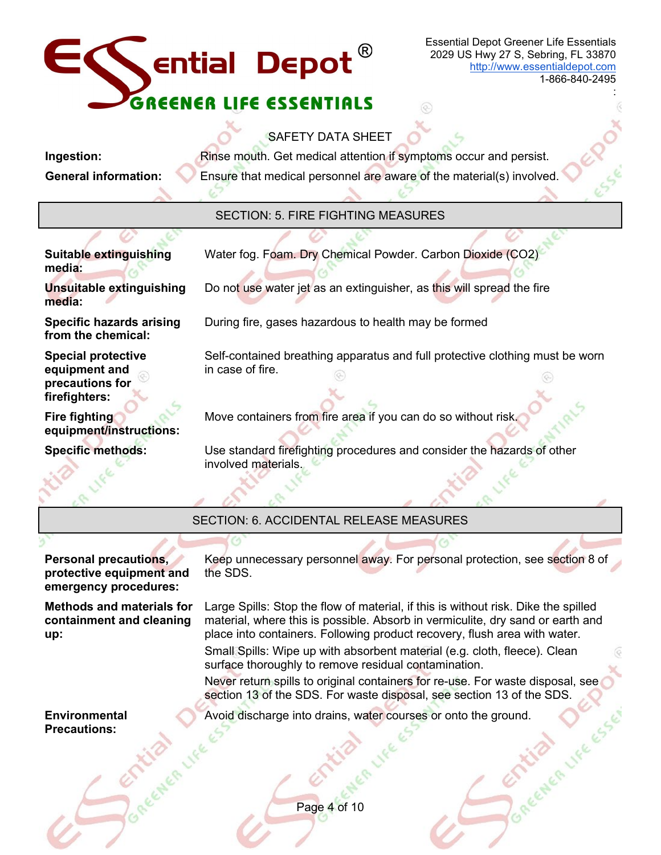# Essential Depot Greener Life Essentials **Sential Depot** 2029 US Hwy 27 S, Sebring, FL 33870 [http://www.essentialdepot.com](http://www.essentialdepot.com/) 1-866-840-2495 : LIFE ESSENTIALS SAFETY DATA SHEET **Ingestion:** Rinse mouth. Get medical attention if symptoms occur and persist. **General information:** Ensure that medical personnel are aware of the material(s) involved. SECTION: 5. FIRE FIGHTING MEASURES **Suitable extinguishing**  Water fog. Foam. Dry Chemical Powder. Carbon Dioxide (CO2) **media: Unsuitable extinguishing** Do not use water jet as an extinguisher, as this will spread the fire **media:** During fire, gases hazardous to health may be formed **Specific hazards arising from the chemical: Special protective**  Self-contained breathing apparatus and full protective clothing must be worn **equipment and**  in case of fire. **precautions for firefighters: Fire fighting** Move containers from fire area if you can do so without risk. **equipment/instructions: Specific methods:** Use standard firefighting procedures and consider the hazards of other involved materials. SECTION: 6. ACCIDENTAL RELEASE MEASURES **Personal precautions,**  Keep unnecessary personnel away. For personal protection, see section 8 of the SDS. **protective equipment and emergency procedures: Methods and materials for**  Large Spills: Stop the flow of material, if this is without risk. Dike the spilled **containment and cleaning**  material, where this is possible. Absorb in vermiculite, dry sand or earth and place into containers. Following product recovery, flush area with water. **up:** Small Spills: Wipe up with absorbent material (e.g. cloth, fleece). Clean surface thoroughly to remove residual contamination. Never return spills to original containers for re-use. For waste disposal, see section 13 of the SDS. For waste disposal, see section 13 of the SDS. GR LIFE ESSE Avoid discharge into drains, water courses or onto the ground.**Environmental Precautions:**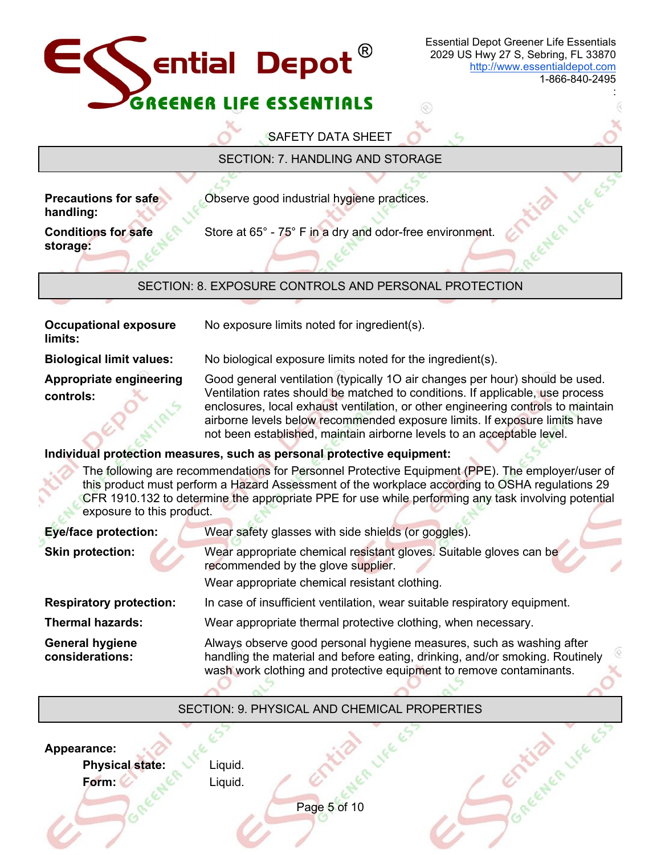

### SECTION: 9. PHYSICAL AND CHEMICAL PROPERTIES

Center Like Es

Page 5 of 10 **Appearance: Physical state: Form:** Liquid. Liquid.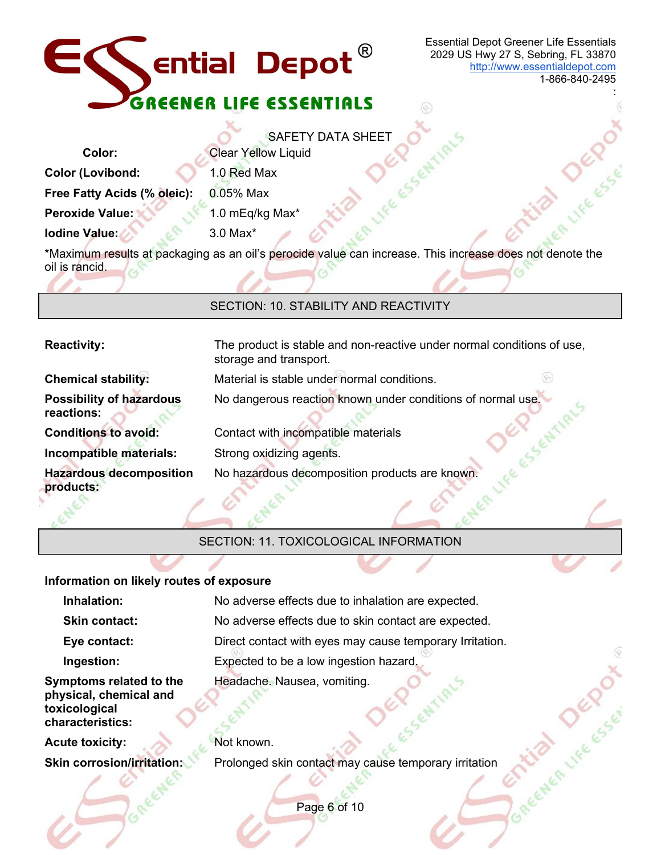

Χ.

Essential Depot Greener Life Essentials 2029 US Hwy 27 S, Sebring, FL 33870 [http://www.essentialdepot.com](http://www.essentialdepot.com/)

 $\circledcirc$ 

×.

1-866-840-2495

:

|                                                                                                                            | <b>SAFETY DATA SHEET</b>   |  |  |
|----------------------------------------------------------------------------------------------------------------------------|----------------------------|--|--|
| Color:                                                                                                                     | <b>Clear Yellow Liquid</b> |  |  |
| <b>Color (Lovibond:</b>                                                                                                    | 1.0 Red Max                |  |  |
| Free Fatty Acids (% oleic):                                                                                                | $0.05%$ Max                |  |  |
| <b>Peroxide Value:</b>                                                                                                     | 1.0 mEq/kg Max*            |  |  |
| Iodine Value:                                                                                                              | $3.0$ Max $*$              |  |  |
| *Maximum results at packaging as an oil's perocide value can increase. This increase does not denote the<br>oil is rancid. |                            |  |  |

#### SECTION: 10. STABILITY AND REACTIVITY

| <b>Reactivity:</b>                            | The product is stable and non-reactive under normal conditions of use,<br>storage and transport. |
|-----------------------------------------------|--------------------------------------------------------------------------------------------------|
| <b>Chemical stability:</b>                    | Material is stable under normal conditions.                                                      |
| <b>Possibility of hazardous</b><br>reactions: | No dangerous reaction known under conditions of normal use.                                      |
| <b>Conditions to avoid:</b>                   | Contact with incompatible materials                                                              |
| Incompatible materials:                       | Strong oxidizing agents.                                                                         |
| <b>Hazardous decomposition</b><br>products:   | No hazardous decomposition products are known.                                                   |

SECTION: 11. TOXICOLOGICAL INFORMATION

#### **Information on likely routes of exposure**

| Inhalation:                                                                            | No adverse effects due to inhalation are expected.       |  |  |
|----------------------------------------------------------------------------------------|----------------------------------------------------------|--|--|
| <b>Skin contact:</b>                                                                   | No adverse effects due to skin contact are expected.     |  |  |
| Eye contact:                                                                           | Direct contact with eyes may cause temporary Irritation. |  |  |
| Ingestion:                                                                             | Expected to be a low ingestion hazard.                   |  |  |
| Symptoms related to the<br>physical, chemical and<br>toxicological<br>characteristics: | Headache. Nausea, vomiting.                              |  |  |
| <b>Acute toxicity:</b>                                                                 | Not known.                                               |  |  |
| <b>Skin corrosion/irritation:</b>                                                      | Prolonged skin contact may cause temporary irritation    |  |  |
|                                                                                        | Page 6 of 10                                             |  |  |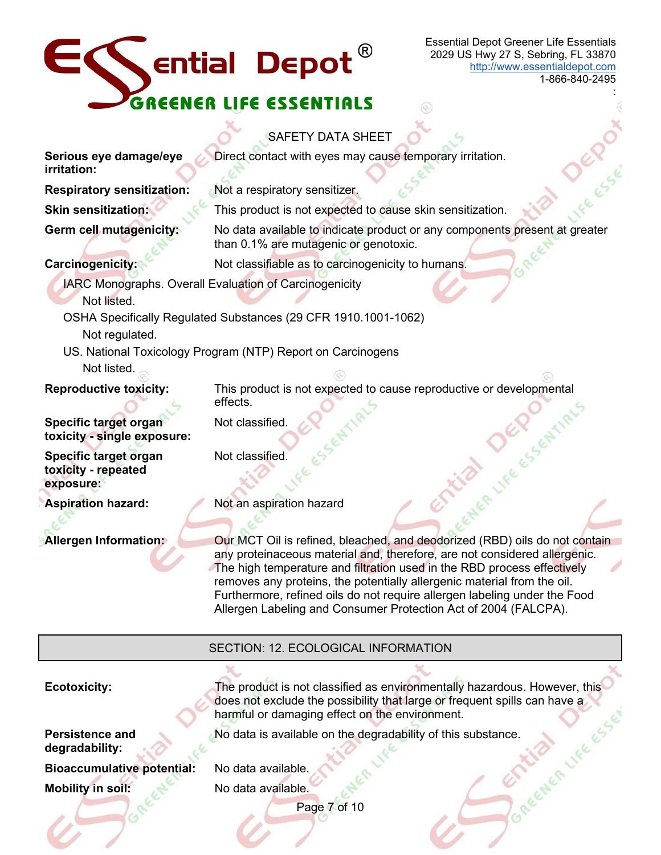# $E$  ential Depot GREENER LIFE ESSENTIALS

Essential Depot Greener Life Essentials 2029 US Hwy 27 S, Sebring, FL 33870 [http://www.essentialdepot.com](http://www.essentialdepot.com/)

1-866-840-2495

:

# SAFETY DATA SHEET

**Serious eye damage/eye**  Direct contact with eyes may cause temporary irritation. **irritation: Respiratory sensitization:** Not a respiratory sensitizer. **Skin sensitization:** This product is not expected to cause skin sensitization. **Germ cell mutagenicity:** No data available to indicate product or any components present at greater than 0.1% are mutagenic or genotoxic. **Carcinogenicity:** Not classifiable as to carcinogenicity to humans. IARC Monographs. Overall Evaluation of Carcinogenicity Not listed. OSHA Specifically Regulated Substances (29 CFR 1910.1001-1062) Not regulated. US. National Toxicology Program (NTP) Report on Carcinogens Not listed. **Reproductive toxicity:** This product is not expected to cause reproductive or developmental effects. **DEP** SENTI **Specific target organ**  Not classified. **toxicity - single exposure: Specific target organ**  Not classified. **toxicity - repeated exposure: Aspiration hazard:** Not an aspiration hazard **Allergen Information: Our MCT Oil is refined, bleached, and deodorized (RBD) oils do not contain** any proteinaceous material and, therefore, are not considered allergenic. The high temperature and filtration used in the RBD process effectively removes any proteins, the potentially allergenic material from the oil. Furthermore, refined oils do not require allergen labeling under the Food Allergen Labeling and Consumer Protection Act of 2004 (FALCPA).

# SECTION: 12. ECOLOGICAL INFORMATION

Page 7 of 10 **Ecotoxicity:** The product is not classified as environmentally hazardous. However, this does not exclude the possibility that large or frequent spills can have a<br>harmful or damaging effect on the environment.<br>No data is available on the degradability of this substance.<br>No data available harmful or damaging effect on the environment. **Persistence and degradability:** No data is available on the degradability of this substance. **Bioaccumulative potential:** No data available. **Mobility in soil:** No data available.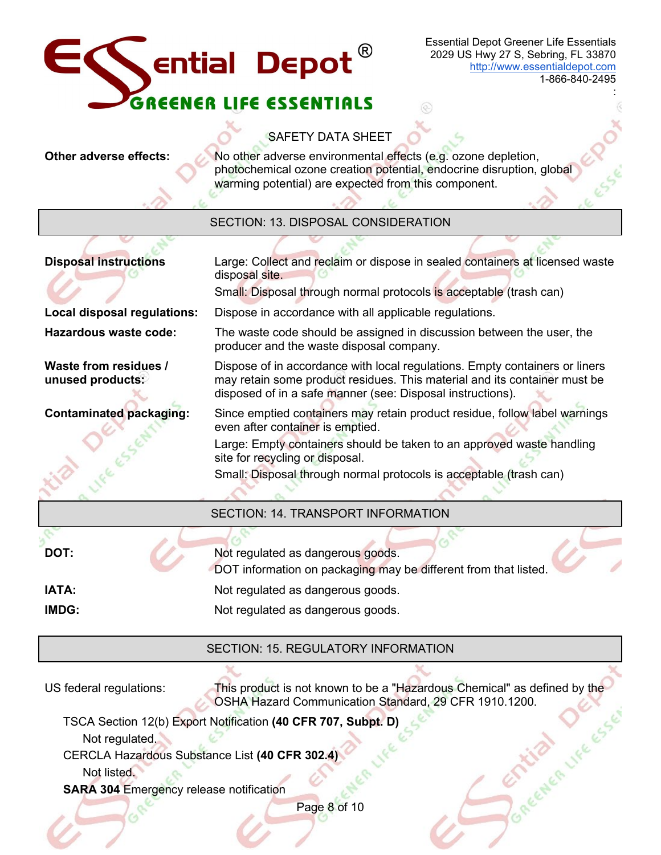

1-866-840-2495

:

# **SAFETY DATA SHEET**

 $\mathbf{A}$ 

**Other adverse effects:** No other adverse environmental effects (e.g. ozone depletion, photochemical ozone creation potential, endocrine disruption, global warming potential) are expected from this component.

 $\mathcal{L}$ 

⊛

| SECTION: 13. DISPOSAL CONSIDERATION            |                                                                                                                                                                                                                        |  |
|------------------------------------------------|------------------------------------------------------------------------------------------------------------------------------------------------------------------------------------------------------------------------|--|
| <b>Disposal instructions</b>                   | Large: Collect and reclaim or dispose in sealed containers at licensed waste<br>disposal site.<br>Small: Disposal through normal protocols is acceptable (trash can)                                                   |  |
| Local disposal regulations:                    | Dispose in accordance with all applicable regulations.                                                                                                                                                                 |  |
| Hazardous waste code:                          | The waste code should be assigned in discussion between the user, the<br>producer and the waste disposal company.                                                                                                      |  |
| Waste from residues /<br>unused products:      | Dispose of in accordance with local regulations. Empty containers or liners<br>may retain some product residues. This material and its container must be<br>disposed of in a safe manner (see: Disposal instructions). |  |
| <b>Contaminated packaging:</b>                 | Since emptied containers may retain product residue, follow label warnings<br>even after container is emptied.                                                                                                         |  |
| <b>VIVERSEN</b>                                | Large: Empty containers should be taken to an approved waste handling<br>site for recycling or disposal.<br>Small: Disposal through normal protocols is acceptable (trash can)                                         |  |
|                                                | <b>SECTION: 14. TRANSPORT INFORMATION</b>                                                                                                                                                                              |  |
| DOT:                                           | Not regulated as dangerous goods.<br>DOT information on packaging may be different from that listed.                                                                                                                   |  |
| <b>IATA:</b>                                   | Not regulated as dangerous goods.                                                                                                                                                                                      |  |
| IMDG:                                          | Not regulated as dangerous goods.                                                                                                                                                                                      |  |
|                                                |                                                                                                                                                                                                                        |  |
|                                                | <b>SECTION: 15. REGULATORY INFORMATION</b>                                                                                                                                                                             |  |
| US federal regulations:                        | This product is not known to be a "Hazardous Chemical" as defined by the<br>OSHA Hazard Communication Standard, 29 CFR 1910.1200.                                                                                      |  |
| Not regulated.                                 | TSCA Section 12(b) Export Notification (40 CFR 707, Subpt. D)<br>GENER LIFE ESSE                                                                                                                                       |  |
| CERCLA Hazardous Substance List (40 CFR 302.4) |                                                                                                                                                                                                                        |  |
| Not listed.                                    |                                                                                                                                                                                                                        |  |
| <b>SARA 304 Emergency release notification</b> |                                                                                                                                                                                                                        |  |
|                                                | Page 8 of 10                                                                                                                                                                                                           |  |
|                                                |                                                                                                                                                                                                                        |  |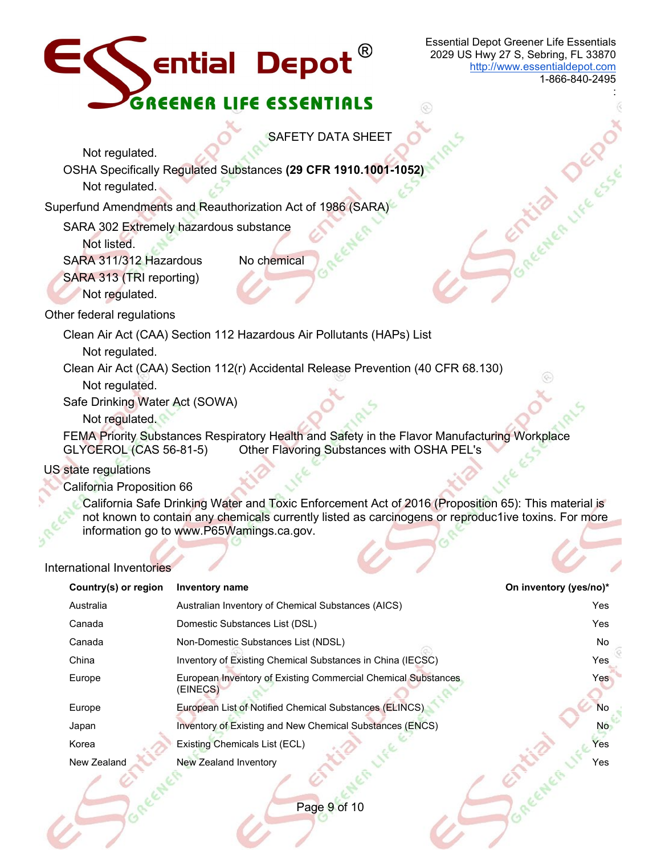

1-866-840-2495

Joneemen Jecond

:

SAFETY DATA SHEET

Not regulated. OSHA Specifically Regulated Substances **(29 CFR 1910.1001-1052)** Not regulated.

Superfund Amendments and Reauthorization Act of 1986 (SARA)

SARA 302 Extremely hazardous substance

Not listed.

SARA 311/312 Hazardous No chemical

SARA 313 (TRI reporting)

Not regulated.

Other federal regulations

Clean Air Act (CAA) Section 112 Hazardous Air Pollutants (HAPs) List

Not regulated.

Clean Air Act (CAA) Section 112(r) Accidental Release Prevention (40 CFR 68.130)

Not regulated.

Safe Drinking Water Act (SOWA)

Not regulated.

FEMA Priority Substances Respiratory Health and Safety in the Flavor Manufacturing Workplace GLYCEROL (CAS 56-81-5) Other Flavoring Substances with OSHA PEL's

# US state regulations

California Proposition 66

California Safe Drinking Water and Toxic Enforcement Act of 2016 (Proposition 65): This material is not known to contain any chemicals currently listed as carcinogens or reproduc1ive toxins. For more information go to www.P65Wamings.ca.gov.

# International Inventories

| Country(s) or region | Inventory name                                                            | On inventory (yes/no)* |
|----------------------|---------------------------------------------------------------------------|------------------------|
| Australia            | Australian Inventory of Chemical Substances (AICS)                        | <b>Yes</b>             |
| Canada               | Domestic Substances List (DSL)                                            | Yes                    |
| Canada               | Non-Domestic Substances List (NDSL)                                       | No.                    |
| China                | Inventory of Existing Chemical Substances in China (IECSC)                | Yes                    |
| Europe               | European Inventory of Existing Commercial Chemical Substances<br>(EINECS) | Yes                    |
| Europe               | European List of Notified Chemical Substances (ELINCS)                    | <b>No</b>              |
| Japan                | Inventory of Existing and New Chemical Substances (ENCS)                  | No                     |
| Korea                | Existing Chemicals List (ECL)                                             | Yes                    |
| New Zealand          | New Zealand Inventory                                                     | Yes                    |
|                      |                                                                           |                        |